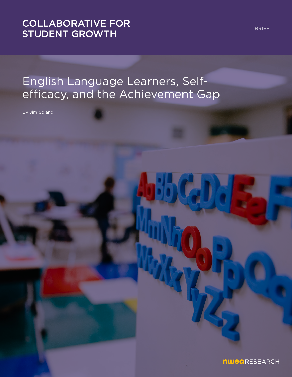## [COLLABORATIVE FOR](https://www.nwea.org/research/collaborative-for-student-growth/)  STUDENT GROWTH

# English Language Learners, Selfefficacy, and the Achievement Gap

By Jim Soland

BRIEF

nwearesearch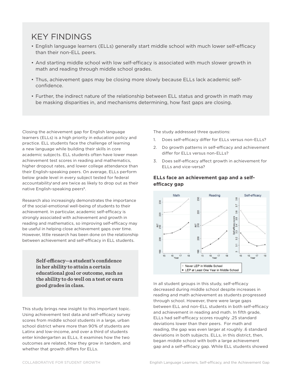## KEY FINDINGS

- English language learners (ELLs) generally start middle school with much lower self-efficacy than their non-ELL peers.
- And starting middle school with low self-efficacy is associated with much slower growth in math and reading through middle school grades.
- Thus, achievement gaps may be closing more slowly because ELLs lack academic selfconfidence.
- Further, the indirect nature of the relationship between ELL status and growth in math may be masking disparities in, and mechanisms determining, how fast gaps are closing.

Closing the achievement gap for English language learners (ELLs) is a high priority in education policy and practice. ELL students face the challenge of learning a new language while building their skills in core academic subjects. ELL students often have lower mean achievement test scores in reading and mathematics, higher dropout rates, and lower college attendance than their English-speaking peers. On average, ELLs perform below grade level in every subject tested for federal accountability**i** and are twice as likely to drop out as their native English-speaking peers**ii** .

Research also increasingly demonstrates the importance of the social-emotional well-being of students to their achievement. In particular, academic self-efficacy is strongly associated with achievement and growth in reading and mathematics, so improving self-efficacy may be useful in helping close achievement gaps over time. However, little research has been done on the relationship between achievement and self-efficacy in ELL students.

> **Self-efficacy—a student's confidence in her ability to attain a certain educational goal or outcome, such as the ability to do well on a test or earn good grades in class.**

This study brings new insight to this important topic. Using achievement test data and self-efficacy survey scores from middle school students in a large, urban school district where more than 90% of students are Latinx and low-income, and over a third of students enter kindergarten as ELLs, it examines how the two outcomes are related, how they grow in tandem, and whether that growth differs for ELLs.

The study addressed three questions:

- 1. Does self-efficacy differ for ELLs versus non-ELLs?
- 2. Do growth patterns in self-efficacy and achievement differ for ELLs versus non-ELLs?
- 3. Does self-efficacy affect growth in achievement for ELLs and vice-versa?

### **ELLs face an achievement gap and a selfefficacy gap**



In all student groups in this study, self-efficacy decreased during middle school despite increases in reading and math achievement as students progressed through school. However, there were large gaps between ELL and non-ELL students in both self-efficacy and achievement in reading and math. In fifth grade, ELLs had self-efficacy scores roughly .25 standard deviations lower than their peers. For math and reading, the gap was even larger at roughly .6 standard deviations in both subjects. ELLs, in this district, then, began middle school with both a large achievement gap and a self-efficacy gap. While ELL students showed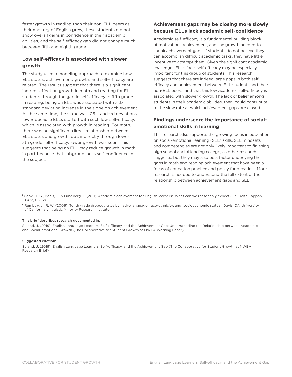faster growth in reading than their non-ELL peers as their mastery of English grew, these students did not show overall gains in confidence in their academic abilities, and the self-efficacy gap did not change much between fifth and eighth grade.

### **Low self-efficacy is associated with slower growth**

The study used a modeling approach to examine how ELL status, achievement, growth, and self-efficacy are related. The results suggest that there is a significant indirect effect on growth in math and reading for ELL students through the gap in self-efficacy in fifth grade. In reading, being an ELL was associated with a .13 standard deviation increase in the slope on achievement. At the same time, the slope was .05 standard deviations lower because ELLs started with such low self-efficacy, which is associated with growth in reading. For math, there was no significant direct relationship between ELL status and growth, but, indirectly through lower 5th grade self-efficacy, lower growth was seen. This suggests that being an ELL may reduce growth in math in part because that subgroup lacks self-confidence in the subject.

### **Achievement gaps may be closing more slowly because ELLs lack academic self-confidence**

Academic self-efficacy is a fundamental building block of motivation, achievement, and the growth needed to shrink achievement gaps. If students do not believe they can accomplish difficult academic tasks, they have little incentive to attempt them. Given the significant academic challenges ELLs face, self-efficacy may be especially important for this group of students. This research suggests that there are indeed large gaps in both selfefficacy and achievement between ELL students and their non-ELL peers, and that this low academic self-efficacy is associated with slower growth. The lack of belief among students in their academic abilities, then, could contribute to the slow rate at which achievement gaps are closed.

### **Findings underscore the importance of socialemotional skills in learning**

This research also supports the growing focus in education on social-emotional learning (SEL) skills. SEL mindsets and competencies are not only likely important to finishing high school and attending college, as other research suggests, but they may also be a factor underlying the gaps in math and reading achievement that have been a focus of education practice and policy for decades. More research is needed to understand the full extent of the relationship between achievement gaps and SEL.

**<sup>i</sup>** Cook, H. G., Boals, T., & Lundberg, T. (2011). Academic achievement for English learners: What can we reasonably expect? Phi Delta Kappan, 93(3), 66–69.

**ii** Rumberger, R. W. (2006). Tenth grade dropout rates by native language, race/ethnicity, and socioeconomic status. Davis, CA: University of California Linguistic Minority Research Institute.

#### This brief describes research documented in:

Soland, J. (2019). English Language Learners, Self-efficacy, and the Achievement Gap: Understanding the Relationship between Academic and Social-emotional Growth (The Collaborative for Student Growth at NWEA Working Paper).

#### Suggested citation:

Soland, J. (2019). English Language Learners, Self-efficacy, and the Achievement Gap (The Collaborative for Student Growth at NWEA Research Brief).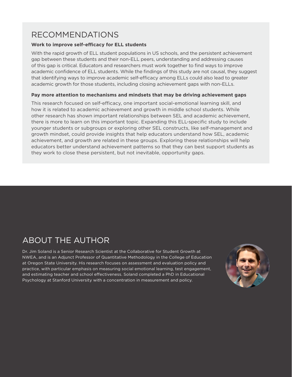## RECOMMENDATIONS

## **Work to improve self-efficacy for ELL students**

With the rapid growth of ELL student populations in US schools, and the persistent achievement gap between these students and their non-ELL peers, understanding and addressing causes of this gap is critical. Educators and researchers must work together to find ways to improve academic confidence of ELL students. While the findings of this study are not causal, they suggest that identifying ways to improve academic self-efficacy among ELLs could also lead to greater academic growth for those students, including closing achievement gaps with non-ELLs.

### **Pay more attention to mechanisms and mindsets that may be driving achievement gaps**

This research focused on self-efficacy, one important social-emotional learning skill, and how it is related to academic achievement and growth in middle school students. While other research has shown important relationships between SEL and academic achievement, there is more to learn on this important topic. Expanding this ELL-specific study to include younger students or subgroups or exploring other SEL constructs, like self-management and growth mindset, could provide insights that help educators understand how SEL, academic achievement, and growth are related in these groups. Exploring these relationships will help educators better understand achievement patterns so that they can best support students as they work to close these persistent, but not inevitable, opportunity gaps.

## ABOUT THE AUTHOR

Dr. Jim Soland is a Senior Research Scientist at the Collaborative for Student Growth at NWEA, and is an Adjunct Professor of Quantitative Methodology in the College of Education at Oregon State University. His research focuses on assessment and evaluation policy and practice, with particular emphasis on measuring social emotional learning, test engagement, and estimating teacher and school effectiveness. Soland completed a PhD in Educational Psychology at Stanford University with a concentration in measurement and policy.